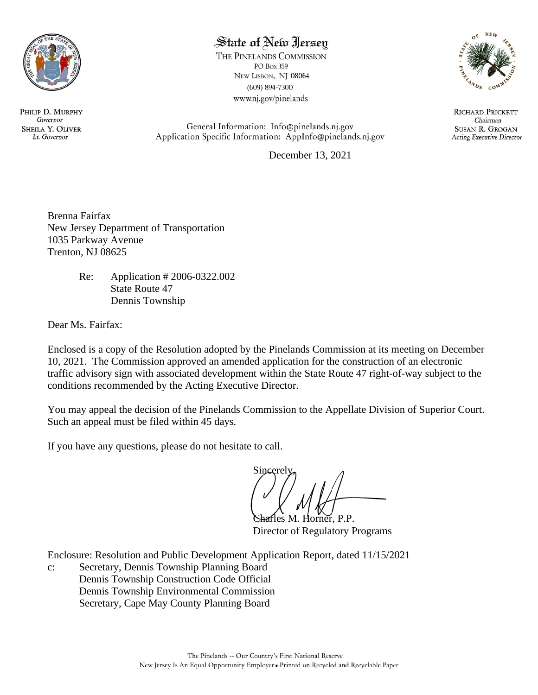

# State of New Jersey

THE PINELANDS COMMISSION PO Box 359 NEW LISBON, NJ 08064  $(609) 894 - 7300$ www.nj.gov/pinelands



**RICHARD PRICKETT** Chairman **SUSAN R. GROGAN Acting Executive Director** 

General Information: Info@pinelands.nj.gov Application Specific Information: AppInfo@pinelands.nj.gov

December 13, 2021

Brenna Fairfax New Jersey Department of Transportation 1035 Parkway Avenue Trenton, NJ 08625

> Re: Application # 2006-0322.002 State Route 47 Dennis Township

Dear Ms. Fairfax:

Enclosed is a copy of the Resolution adopted by the Pinelands Commission at its meeting on December 10, 2021. The Commission approved an amended application for the construction of an electronic traffic advisory sign with associated development within the State Route 47 right-of-way subject to the conditions recommended by the Acting Executive Director.

You may appeal the decision of the Pinelands Commission to the Appellate Division of Superior Court. Such an appeal must be filed within 45 days.

If you have any questions, please do not hesitate to call.

Sincerely

frles M. Horner, P.P. Director of Regulatory Programs

Enclosure: Resolution and Public Development Application Report, dated 11/15/2021

c: Secretary, Dennis Township Planning Board Dennis Township Construction Code Official Dennis Township Environmental Commission Secretary, Cape May County Planning Board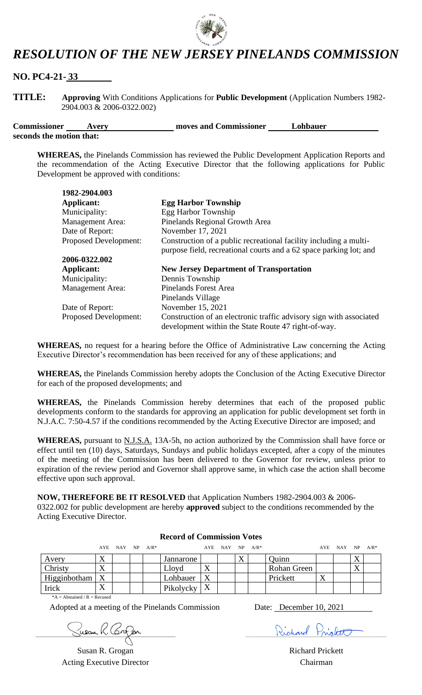

# *RESOLUTION OF THE NEW JERSEY PINELANDS COMMISSION*

## **NO. PC4-21- 33**

**TITLE: Approving** With Conditions Applications for **Public Development** (Application Numbers 1982- 2904.003 & 2006-0322.002)

**Commissioner Avery Avery Results moves and Commissioner** *Lohbauer* **Lohbauer seconds the motion that:**

**WHEREAS,** the Pinelands Commission has reviewed the Public Development Application Reports and the recommendation of the Acting Executive Director that the following applications for Public Development be approved with conditions:

| 1982-2904.003                |                                                                     |
|------------------------------|---------------------------------------------------------------------|
| <b>Applicant:</b>            | <b>Egg Harbor Township</b>                                          |
| Municipality:                | Egg Harbor Township                                                 |
| <b>Management Area:</b>      | Pinelands Regional Growth Area                                      |
| Date of Report:              | November 17, 2021                                                   |
| <b>Proposed Development:</b> | Construction of a public recreational facility including a multi-   |
|                              | purpose field, recreational courts and a 62 space parking lot; and  |
| 2006-0322.002                |                                                                     |
| Applicant:                   | <b>New Jersey Department of Transportation</b>                      |
| Municipality:                | Dennis Township                                                     |
| <b>Management Area:</b>      | <b>Pinelands Forest Area</b>                                        |
|                              | Pinelands Village                                                   |
| Date of Report:              | November 15, 2021                                                   |
| <b>Proposed Development:</b> | Construction of an electronic traffic advisory sign with associated |
|                              | development within the State Route 47 right-of-way.                 |

**WHEREAS,** no request for a hearing before the Office of Administrative Law concerning the Acting Executive Director's recommendation has been received for any of these applications; and

**WHEREAS,** the Pinelands Commission hereby adopts the Conclusion of the Acting Executive Director for each of the proposed developments; and

**WHEREAS,** the Pinelands Commission hereby determines that each of the proposed public developments conform to the standards for approving an application for public development set forth in N.J.A.C. 7:50-4.57 if the conditions recommended by the Acting Executive Director are imposed; and

WHEREAS, pursuant to N.J.S.A. 13A-5h, no action authorized by the Commission shall have force or effect until ten (10) days, Saturdays, Sundays and public holidays excepted, after a copy of the minutes of the meeting of the Commission has been delivered to the Governor for review, unless prior to expiration of the review period and Governor shall approve same, in which case the action shall become effective upon such approval.

**NOW, THEREFORE BE IT RESOLVED** that Application Numbers 1982-2904.003 & 2006-

0322.002 for public development are hereby **approved** subject to the conditions recommended by the Acting Executive Director.

|                                |           | $AYE$ NAY NP $A/R^*$ |  |  |           |                  | $AYE$ NAY NP $A/R^*$ |           |                    |           | $AYE$ NAY NP $A/R^*$ |                   |  |
|--------------------------------|-----------|----------------------|--|--|-----------|------------------|----------------------|-----------|--------------------|-----------|----------------------|-------------------|--|
| Avery                          |           |                      |  |  | Jannarone |                  |                      | $\Lambda$ | <b>Duinn</b>       |           |                      |                   |  |
| <b>Christy</b>                 |           |                      |  |  | Lloyd     | л                |                      |           | <b>Rohan Green</b> |           |                      | $\mathbf{x}$<br>△ |  |
| Higginbotham   X               |           |                      |  |  | Lohbauer  | X                |                      |           | Prickett           | $\Lambda$ |                      |                   |  |
| Irick                          | $\Lambda$ |                      |  |  | Pikolycky | $\boldsymbol{X}$ |                      |           |                    |           |                      |                   |  |
| $*A - Abstained / R - Recused$ |           |                      |  |  |           |                  |                      |           |                    |           |                      |                   |  |

**Record of Commission Votes**

 $*A = Abstract and / R = Recused$ 

Adopted at a meeting of the Pinelands Commission Date: December 10, 2021

Susan R. Grogan **Richard Prickett Richard Prickett** Acting Executive Director Chairman

Richard Priotet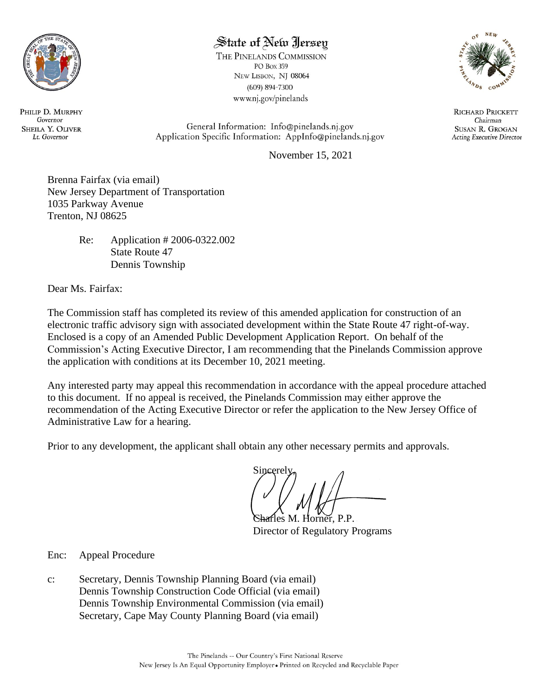

# State of New Jersey

THE PINELANDS COMMISSION PO Box 359 NEW LISBON, NJ 08064  $(609) 894 - 7300$ www.nj.gov/pinelands



**RICHARD PRICKETT** Chairman **SUSAN R. GROGAN Acting Executive Director** 

General Information: Info@pinelands.nj.gov Application Specific Information: AppInfo@pinelands.nj.gov

November 15, 2021

Brenna Fairfax (via email) New Jersey Department of Transportation 1035 Parkway Avenue Trenton, NJ 08625

> Re: Application # 2006-0322.002 State Route 47 Dennis Township

Dear Ms. Fairfax:

The Commission staff has completed its review of this amended application for construction of an electronic traffic advisory sign with associated development within the State Route 47 right-of-way. Enclosed is a copy of an Amended Public Development Application Report. On behalf of the Commission's Acting Executive Director, I am recommending that the Pinelands Commission approve the application with conditions at its December 10, 2021 meeting.

Any interested party may appeal this recommendation in accordance with the appeal procedure attached to this document. If no appeal is received, the Pinelands Commission may either approve the recommendation of the Acting Executive Director or refer the application to the New Jersey Office of Administrative Law for a hearing.

Prior to any development, the applicant shall obtain any other necessary permits and approvals.

Sincerely

fles M. Horner, P.P. Director of Regulatory Programs

Enc: Appeal Procedure

c: Secretary, Dennis Township Planning Board (via email) Dennis Township Construction Code Official (via email) Dennis Township Environmental Commission (via email) Secretary, Cape May County Planning Board (via email)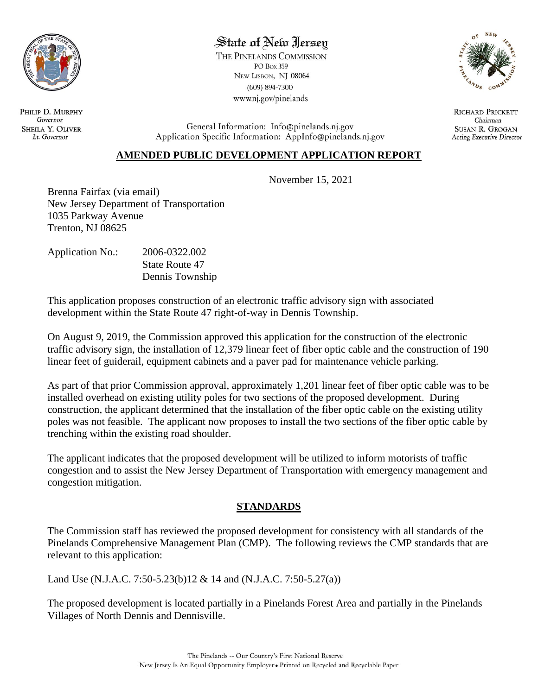

## State of New Jersey

THE PINELANDS COMMISSION PO Box 359 NEW LISBON, NJ 08064  $(609) 894 - 7300$ www.nj.gov/pinelands



**RICHARD PRICKETT** Chairman **SUSAN R. GROGAN Acting Executive Director** 

General Information: Info@pinelands.nj.gov Application Specific Information: AppInfo@pinelands.nj.gov

## **AMENDED PUBLIC DEVELOPMENT APPLICATION REPORT**

November 15, 2021

Brenna Fairfax (via email) New Jersey Department of Transportation 1035 Parkway Avenue Trenton, NJ 08625

| <b>Application No.:</b> | 2006-0322.002   |
|-------------------------|-----------------|
|                         | State Route 47  |
|                         | Dennis Township |

This application proposes construction of an electronic traffic advisory sign with associated development within the State Route 47 right-of-way in Dennis Township.

On August 9, 2019, the Commission approved this application for the construction of the electronic traffic advisory sign, the installation of 12,379 linear feet of fiber optic cable and the construction of 190 linear feet of guiderail, equipment cabinets and a paver pad for maintenance vehicle parking.

As part of that prior Commission approval, approximately 1,201 linear feet of fiber optic cable was to be installed overhead on existing utility poles for two sections of the proposed development. During construction, the applicant determined that the installation of the fiber optic cable on the existing utility poles was not feasible. The applicant now proposes to install the two sections of the fiber optic cable by trenching within the existing road shoulder.

The applicant indicates that the proposed development will be utilized to inform motorists of traffic congestion and to assist the New Jersey Department of Transportation with emergency management and congestion mitigation.

## **STANDARDS**

The Commission staff has reviewed the proposed development for consistency with all standards of the Pinelands Comprehensive Management Plan (CMP). The following reviews the CMP standards that are relevant to this application:

## Land Use (N.J.A.C. 7:50-5.23(b)12 & 14 and (N.J.A.C. 7:50-5.27(a))

The proposed development is located partially in a Pinelands Forest Area and partially in the Pinelands Villages of North Dennis and Dennisville.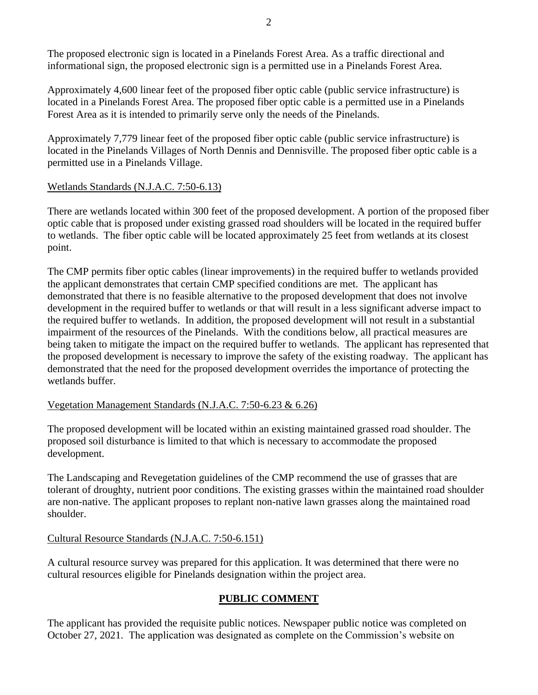The proposed electronic sign is located in a Pinelands Forest Area. As a traffic directional and informational sign, the proposed electronic sign is a permitted use in a Pinelands Forest Area.

Approximately 4,600 linear feet of the proposed fiber optic cable (public service infrastructure) is located in a Pinelands Forest Area. The proposed fiber optic cable is a permitted use in a Pinelands Forest Area as it is intended to primarily serve only the needs of the Pinelands.

Approximately 7,779 linear feet of the proposed fiber optic cable (public service infrastructure) is located in the Pinelands Villages of North Dennis and Dennisville. The proposed fiber optic cable is a permitted use in a Pinelands Village.

#### Wetlands Standards (N.J.A.C. 7:50-6.13)

There are wetlands located within 300 feet of the proposed development. A portion of the proposed fiber optic cable that is proposed under existing grassed road shoulders will be located in the required buffer to wetlands. The fiber optic cable will be located approximately 25 feet from wetlands at its closest point.

The CMP permits fiber optic cables (linear improvements) in the required buffer to wetlands provided the applicant demonstrates that certain CMP specified conditions are met. The applicant has demonstrated that there is no feasible alternative to the proposed development that does not involve development in the required buffer to wetlands or that will result in a less significant adverse impact to the required buffer to wetlands. In addition, the proposed development will not result in a substantial impairment of the resources of the Pinelands. With the conditions below, all practical measures are being taken to mitigate the impact on the required buffer to wetlands. The applicant has represented that the proposed development is necessary to improve the safety of the existing roadway. The applicant has demonstrated that the need for the proposed development overrides the importance of protecting the wetlands buffer.

#### Vegetation Management Standards (N.J.A.C. 7:50-6.23 & 6.26)

The proposed development will be located within an existing maintained grassed road shoulder. The proposed soil disturbance is limited to that which is necessary to accommodate the proposed development.

The Landscaping and Revegetation guidelines of the CMP recommend the use of grasses that are tolerant of droughty, nutrient poor conditions. The existing grasses within the maintained road shoulder are non-native. The applicant proposes to replant non-native lawn grasses along the maintained road shoulder.

## Cultural Resource Standards (N.J.A.C. 7:50-6.151)

A cultural resource survey was prepared for this application. It was determined that there were no cultural resources eligible for Pinelands designation within the project area.

## **PUBLIC COMMENT**

The applicant has provided the requisite public notices. Newspaper public notice was completed on October 27, 2021. The application was designated as complete on the Commission's website on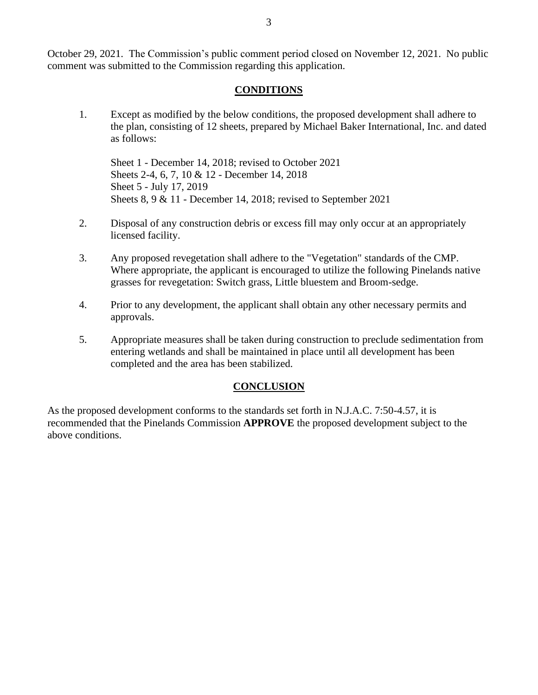October 29, 2021. The Commission's public comment period closed on November 12, 2021. No public comment was submitted to the Commission regarding this application.

#### **CONDITIONS**

1. Except as modified by the below conditions, the proposed development shall adhere to the plan, consisting of 12 sheets, prepared by Michael Baker International, Inc. and dated as follows:

Sheet 1 - December 14, 2018; revised to October 2021 Sheets 2-4, 6, 7, 10 & 12 - December 14, 2018 Sheet 5 - July 17, 2019 Sheets 8, 9 & 11 - December 14, 2018; revised to September 2021

- 2. Disposal of any construction debris or excess fill may only occur at an appropriately licensed facility.
- 3. Any proposed revegetation shall adhere to the "Vegetation" standards of the CMP. Where appropriate, the applicant is encouraged to utilize the following Pinelands native grasses for revegetation: Switch grass, Little bluestem and Broom-sedge.
- 4. Prior to any development, the applicant shall obtain any other necessary permits and approvals.
- 5. Appropriate measures shall be taken during construction to preclude sedimentation from entering wetlands and shall be maintained in place until all development has been completed and the area has been stabilized.

#### **CONCLUSION**

As the proposed development conforms to the standards set forth in N.J.A.C. 7:50-4.57, it is recommended that the Pinelands Commission **APPROVE** the proposed development subject to the above conditions.